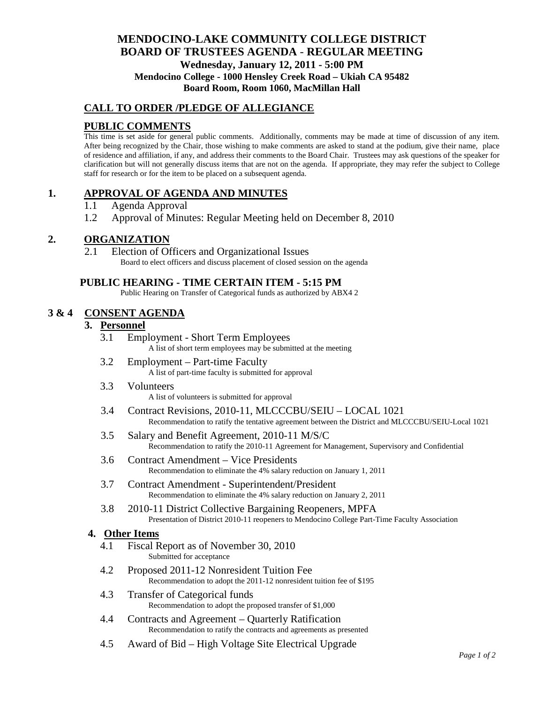# **MENDOCINO-LAKE COMMUNITY COLLEGE DISTRICT BOARD OF TRUSTEES AGENDA** - **REGULAR MEETING Wednesday, January 12, 2011 - 5:00 PM Mendocino College - 1000 Hensley Creek Road – Ukiah CA 95482 Board Room, Room 1060, MacMillan Hall**

### **CALL TO ORDER /PLEDGE OF ALLEGIANCE**

## **PUBLIC COMMENTS**

This time is set aside for general public comments. Additionally, comments may be made at time of discussion of any item. After being recognized by the Chair, those wishing to make comments are asked to stand at the podium, give their name, place of residence and affiliation, if any, and address their comments to the Board Chair. Trustees may ask questions of the speaker for clarification but will not generally discuss items that are not on the agenda. If appropriate, they may refer the subject to College staff for research or for the item to be placed on a subsequent agenda.

# **1. APPROVAL OF AGENDA AND MINUTES**

- 1.1 Agenda Approval
- 1.2 Approval of Minutes: Regular Meeting held on December 8, 2010

### **2. ORGANIZATION**

2.1 Election of Officers and Organizational Issues Board to elect officers and discuss placement of closed session on the agenda

#### **PUBLIC HEARING - TIME CERTAIN ITEM - 5:15 PM**

Public Hearing on Transfer of Categorical funds as authorized by ABX4 2

### **3 & 4 CONSENT AGENDA**

### **3. Personnel**

- 3.1 Employment Short Term Employees A list of short term employees may be submitted at the meeting
- 3.2 Employment Part-time Faculty A list of part-time faculty is submitted for approval
- 3.3 Volunteers A list of volunteers is submitted for approval
- 3.4 Contract Revisions, 2010-11, MLCCCBU/SEIU LOCAL 1021 Recommendation to ratify the tentative agreement between the District and MLCCCBU/SEIU-Local 1021
- 3.5 Salary and Benefit Agreement, 2010-11 M/S/C Recommendation to ratify the 2010-11 Agreement for Management, Supervisory and Confidential
- 3.6 Contract Amendment Vice Presidents Recommendation to eliminate the 4% salary reduction on January 1, 2011
- 3.7 Contract Amendment Superintendent/President Recommendation to eliminate the 4% salary reduction on January 2, 2011
- 3.8 2010-11 District Collective Bargaining Reopeners, MPFA Presentation of District 2010-11 reopeners to Mendocino College Part-Time Faculty Association

#### **4. Other Items**

- 4.1 Fiscal Report as of November 30, 2010 Submitted for acceptance
- 4.2 Proposed 2011-12 Nonresident Tuition Fee Recommendation to adopt the 2011-12 nonresident tuition fee of \$195
- 4.3 Transfer of Categorical funds Recommendation to adopt the proposed transfer of \$1,000
- 4.4 Contracts and Agreement Quarterly Ratification Recommendation to ratify the contracts and agreements as presented
- 4.5 Award of Bid High Voltage Site Electrical Upgrade